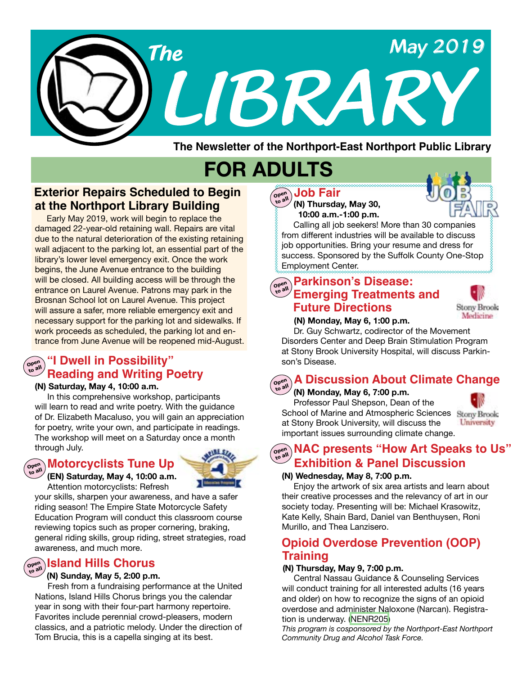

**The Newsletter of the Northport-East Northport Public Library**

# **FOR ADULTS**

### **Exterior Repairs Scheduled to Begin at the Northport Library Building**

Early May 2019, work will begin to replace the damaged 22-year-old retaining wall. Repairs are vital due to the natural deterioration of the existing retaining wall adjacent to the parking lot, an essential part of the library's lower level emergency exit. Once the work begins, the June Avenue entrance to the building will be closed. All building access will be through the entrance on Laurel Avenue. Patrons may park in the Brosnan School lot on Laurel Avenue. This project will assure a safer, more reliable emergency exit and necessary support for the parking lot and sidewalks. If work proceeds as scheduled, the parking lot and entrance from June Avenue will be reopened mid-August.

#### **"I Dwell in Possibility" Reading and Writing Poetry Open to all**

#### **(N) Saturday, May 4, 10:00 a.m.**

In this comprehensive workshop, participants will learn to read and write poetry. With the guidance of Dr. Elizabeth Macaluso, you will gain an appreciation for poetry, write your own, and participate in readings. The workshop will meet on a Saturday once a month through July.

#### **Motorcyclists Tune Up Open**



 **(EN) Saturday, May 4, 10:00 a.m.** Attention motorcyclists: Refresh **to all**

your skills, sharpen your awareness, and have a safer riding season! The Empire State Motorcycle Safety Education Program will conduct this classroom course reviewing topics such as proper cornering, braking, general riding skills, group riding, street strategies, road awareness, and much more.

### $\left(\begin{smallmatrix} \mathsf{open}\ \mathsf{on} \end{smallmatrix}\right)$  **Island Hills Chorus**

#### **(N) Sunday, May 5, 2:00 p.m.**

 Fresh from a fundraising performance at the United Nations, Island Hills Chorus brings you the calendar year in song with their four-part harmony repertoire. Favorites include perennial crowd-pleasers, modern classics, and a patriotic melody. Under the direction of Tom Brucia, this is a capella singing at its best.

 **(N) Thursday, May 30, 10:00 a.m.-1:00 p.m. Open Job Fair to all**

 Calling all job seekers! More than 30 companies from different industries will be available to discuss job opportunities. Bring your resume and dress for success. Sponsored by the Suffolk County One-Stop Employment Center.

#### **Parkinson's Disease: Emerging Treatments and Future Directions Open to all**



#### **(N) Monday, May 6, 1:00 p.m.**

 Dr. Guy Schwartz, codirector of the Movement Disorders Center and Deep Brain Stimulation Program at Stony Brook University Hospital, will discuss Parkinson's Disease.

#### **A Discussion About Climate Change Open to all**

#### **(N) Monday, May 6, 7:00 p.m.** Professor Paul Shepson, Dean of the School of Marine and Atmospheric Sciences Stony Brook at Stony Brook University, will discuss the

important issues surrounding climate change.



**NAC presents "How Art Speaks to Us"**<br> **Pall Exhibition & Panel Discussion** 

#### **(N) Wednesday, May 8, 7:00 p.m.**

 Enjoy the artwork of six area artists and learn about their creative processes and the relevancy of art in our society today. Presenting will be: Michael Krasowitz, Kate Kelly, Shain Bard, Daniel van Benthuysen, Roni Murillo, and Thea Lanzisero.

### **Opioid Overdose Prevention (OOP) Training**

#### **( N) Thursday, May 9, 7:00 p.m.**

Central Nassau Guidance & Counseling Services will conduct training for all interested adults (16 years and older) on how to recognize the signs of an opioid overdose and administer Naloxone (Narcan). Registration is underway. [\(NENR205](https://search.livebrary.com/record=g1090676~S43))

*This program is cosponsored by the Northport-East Northport Community Drug and Alcohol Task Force.*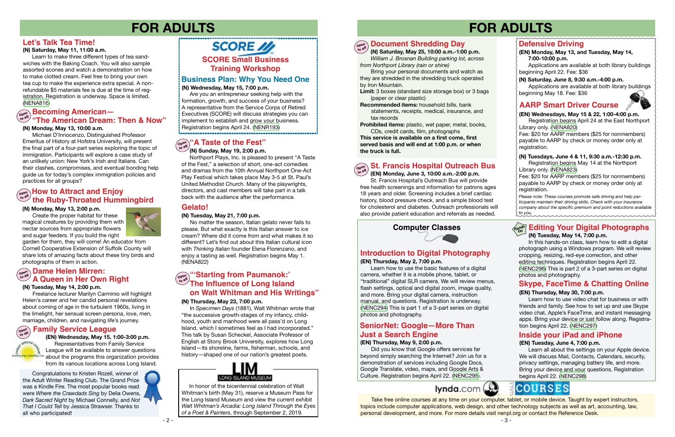### **Computer Classes**

#### **Defensive Driving (EN) Monday, May 13, and Tuesday, May 14, 7:00-10:00 p.m.** Applications are available at both library buildings beginning April 22. Fee: \$36 **(N) Saturday, June 8, 9:30 a.m.-4:00 p.m.** Applications are available at both library buildings beginning May 18. Fee: \$36 **AARP Smart Driver Course (EN) Wednesdays, May 15 & 22, 1:00-4:00 p.m.** Registration begins April 24 at the East Northport Library only. ([NENA820\)](https://search.livebrary.com/record=g1090041~S43) Fee: \$20 for AARP members (\$25 for nonmembers) payable to AARP by check or money order only at registration. **(N) Tuesdays, June 4 & 11, 9:30 a.m.-12:30 p.m.** Registration begins May 14 at the Northport Library only. ([NENA823](https://search.livebrary.com/record=g1090812~S43)) Fee: \$20 for AARP members (\$25 for nonmembers) payable to AARP by check or money order only at registration. *Please note: These courses promote safe driving and help participants maintain their driving skills. Check with your insurance company about the specific premium and point reductions available to you.* mmmmmmmmm

## **FOR ADULTS FOR ADULTS**

#### **(N) Monday, May 13, 2:00 p.m.**

Create the proper habitat for these magical creatures by providing them with nectar sources from appropriate flowers and sugar feeders. If you build the right



garden for them, they will come! An educator from Cornell Cooperative Extension of Suffolk County will share lots of amazing facts about these tiny birds and photographs of them in action.

Northport Plays, Inc. is pleased to present "A Taste of the Fest," a selection of short, one-act comedies and dramas from the 10th Annual Northport One-Act Play Festival which takes place May 3-5 at St. Paul's United Methodist Church. Many of the playwrights, directors, and cast members will take part in a talk back with the audience after the performance.

#### **Hands On Editing Your Digital Photographs (N) Tuesday, May 14, 7:00 p.m.**

Learn how to use video chat for business or with friends and family. See how to set up and use Skype video chat, Apple's FaceTime, and instant messaging apps. Bring your device or just follow along. Registration begins April 22. ([NENC297](https://search.livebrary.com/record=g1084215~S43))

#### **(N) Tuesday, May 21, 7:00 p.m.**

No matter the season, Italian gelato never fails to please. But what exactly is this Italian answer to ice cream? Where did it come from and what makes it so different? Let's find out about this Italian cultural icon with *Thinking Italian* founder Elena Florenzano, and enjoy a tasting as well. Registration begins May 1. (NENA822)

### **Gelato!**

 In this hands-on class, learn how to edit a digital photograph using a Windows program. We will review cropping, resizing, red-eye correction, and other editing techniques. Registration begins April 22. ([NENC296\)](https://search.livebrary.com/record=g1090159~S43) This is part 2 of a 3-part series on digital photos and photography.

### **(EN) Thursday, May 30, 7:00 p.m.**

### **SCORE** // **SCORE Small Business Training Workshop**

### **Inside your iPad and iPhone**

#### **(EN) Tuesday, June 4, 7:00 p.m.**

 Learn all about the settings on your Apple device. We will discuss Mail, Contacts, Calendars, security, privacy settings, managing battery life, and more. Bring your device and your questions. Registration begins April 22. [\(NENC298\)](https://search.livebrary.com/record=g1063444~S43)

### **COURSES**

### **Skype, FaceTime & Chatting Online**

#### **(N) Tuesday, May 14, 2:00 p.m.**

they are shredded in the shredding truck operated<br>by Iron Mountain. Bring your personal documents and watch as by Iron Mountain.

Freelance lecturer Marilyn Carminio will highlight Helen's career and her candid personal revelations about coming of age in the turbulent 1960s, living in the limelight, her sensual screen persona, love, men, marriage, children, and navigating life's journey.

#### **(N) Monday, May 13, 10:00 a.m.**

 Michael D'Innocenzo, Distinguished Professor Emeritus of History at Hofstra University, will present the final part of a four-part series exploring the topic of immigration. Participants will explore a case study of an unlikely union: New York's Irish and Italians. Can their clashes, compromises, and eventual bonding help guide us for today's complex immigration policies and practices for all groups?

#### **(N) Saturday, May 11, 11:00 a.m.**

 Learn to make three different types of tea sandwiches with the Baking Coach. You will also sample assorted scones and watch a demonstration on how to make clotted cream. Feel free to bring your own tea cup to make the experience extra special. A nonrefundable \$5 materials fee is due at the time of registration. Registration is underway. Space is limited.<br>(NENA816) [\(NENA816\)](https://search.livebrary.com/record=g1090063~S43)

### **Let's Talk Tea Time!**

Congratulations to Kristen Rozell, winner of<br>the Adult Winter Reading Club. The Grand Prize Congratulations to Kristen Rozell, winner of was a Kindle Fire. The most popular books read were *Where the Crawdads Sing* by Delia Owens, *Dark Sacred Night* by Michael Connelly, and *Not That I Could Tell* by Jessica Strawser. Thanks to all who participated!



### **Business Plan: Why You Need One**

#### **(N) Wednesday, May 15, 7:00 p.m.**

 Are you an entrepreneur seeking help with the formation, growth, and success of your business? A representative from the Service Corps of Retired Executives (SCORE) will discuss strategies you can implement to establish and grow your business. Registration begins April 24. ([NENR193\)](https://search.livebrary.com/record=g1090152~S43)

#### **How to Attract and Enjoy the Ruby-Throated Hummingbird Open to all**

#### **(N) Thursday, May 23, 7:00 p.m.**

#### **(N) Sunday, May 19, 2:00 p.m. "A Taste of the Fest" Open to all**

In *Specimen Days* (1881), Walt Whitman wrote that "the successive growth-stages of my infancy, childhood, youth and manhood were all pass'd on Long Island, which I sometimes feel as I had incorporated." This talk by Susan Scheckel, Associate Professor of English at Stony Brook University, explores how Long Island—its shoreline, farms, fisherman, schools, and history—shaped one of our nation's greatest poets.



 In honor of the bicentennial celebration of Walt Whitman's birth (May 31), reserve a Museum Pass for the Long Island Museum and view the current exhibit *Walt Whitman's Arcadia: Long Island Through the Eyes of a Poet & Painters*, through September 2, 2019.

### **Document Shredding Day**

**Limit:** 3 boxes (standard size storage box) or 3 bags (paper or clear plastic)

#### **Dame Helen Mirren: A Queen in Her Own Right Open to all**

#### **"The American Dream: Then & Now" Becoming American— Open to all**

**Recommended items:** household bills, bank statements, receipts, medical, insurance, and tax records

**Prohibited items:** plastic, wet paper, metal, books, CDs, credit cards, film, photographs

**This service is available on a first come, first served basis and will end at 1:00 p.m. or when the truck is full.**

also provide patient education and referrals as needed.



#### **"'Starting from Paumanok:' The Influence of Long Island on Walt Whitman and His Writings" Open to all**

#### **(EN) Wednesday, May 15, 1:00-3:00 p.m.** Representatives from Family Service League will be available to answer questions about the programs this organization provides from its various locations across Long Island.

 **(N) Saturday, May 25, 10:00 a.m.-1:00 p.m.**  *William J. Brosnan Building parking lot, across from Northport Library (rain or shine)* **Open to all**

### **Introduction to Digital Photography**

#### **St. Francis Hospital Outreach BusOpen**

#### **(EN) Thursday, May 2, 7:00 p.m.**

 **(EN) Monday, June 3, 10:00 a.m.-2:00 p.m.** St. Francis Hospital's Outreach Bus will provide free health screenings and information for patrons ages 18 years and older. Screening includes a brief cardiac history, blood pressure check, and a simple blood test for cholesterol and diabetes. Outreach professionals will **to all**

 Learn how to use the basic features of a digital camera, whether it is a mobile phone, tablet, or "traditional" digital SLR camera. We will review menus, flash settings, optical and digital zoom, image quality, and more. Bring your digital camera, instruction manual, and questions. Registration is underway. [\(NENC294\)](https://search.livebrary.com/record=g1090103~S43) This is part 1 of a 3-part series on digital photos and photography.

#### **Family Service League Open**

#### **(EN) Thursday, May 9, 2:00 p.m.**

 Did you know that Google offers services far beyond simply searching the Internet? Join us for a demonstration of services including Google Docs, Google Translate, video, maps, and Google Arts & Culture. Registration begins April 22. ([NENC295\)](https://search.livebrary.com/record=g1074576~S43).



### **SeniorNet: Google—More Than Just a Search Engine**



 Take free online courses at any time on your computer, tablet, or mobile device. Taught by expert instructors, topics include computer applications, web design, and other technology subjects as well as art, accounting, law, personal development, and more. For more details visit nenpl.org or contact the Reference Desk.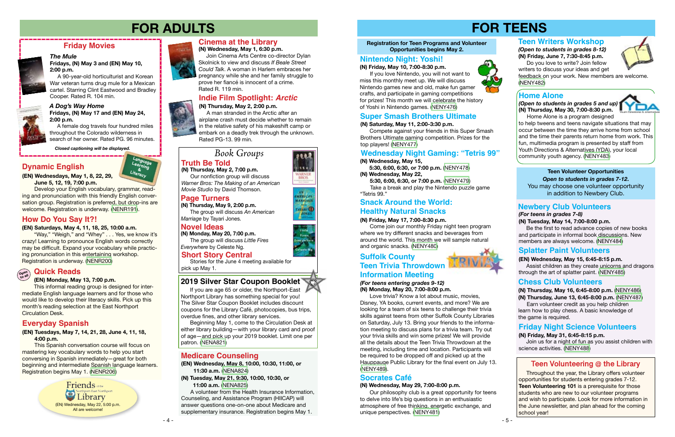#### *A Dog's Way Home* **Fridays, (N) May 17 and (EN) May 24, 2:00 p.m.**

 A female dog travels four hundred miles throughout the Colorado wilderness in search of her owner. Rated PG. 96 minutes.

### **Friday Movies**

#### *The Mule*

**Fridays, (N) May 3 and (EN) May 10,**

**2:00 p.m.** 

 A 90-year-old horticulturist and Korean War veteran turns drug mule for a Mexican cartel. Starring Clint Eastwood and Bradley Cooper. Rated R. 104 min.

*Closed captioning will be displayed.*

### **Cinema at the Library**

#### **(N) Wednesday, May 1, 6:30 p.m.**

 Join Cinema Arts Centre co-director Dylan Skolnick to view and discuss *If Beale Street Could Talk*. A woman in Harlem embraces her pregnancy while she and her family struggle to prove her fiancé is innocent of a crime. Rated R. 119 min.

### **FOR ADULTS FOR TEENS**

**(EN) Wednesdays, May 1, 8, 22, 29, June 5, 12, 19, 7:00 p.m.**

Develop your English vocabulary, grammar, reading and pronunciation with this friendly English conversation group. Registration is preferred, but drop-ins are welcome. Registration is underway. ([NENR191\)](https://search.livebrary.com/record=g1090858~S43).

### **Dynamic English**

### **Page Turners**

#### **Novel Ideas**

**(N) Thursday, May 9, 2:00 p.m.** The group will discuss *An American Marriage* by Tayari Jones.

**(N) Monday, May 20, 7:00 p.m.** The group will discuss *Little Fires Everywhere* by Celeste Ng.

#### **Registration for Teen Programs and Volunteer Opportunities begins May 2.**

### **Home Alone**

### **Truth Be Told**

**(N) Thursday, May 2, 7:00 p.m.** Our nonfiction group will discuss

*Warner Bros: The Making of an American Movie Studio* by David Thomson.

**(EN) Wednesday, May 8, 10:00, 10:30, 11:00, or 11:30 a.m.** [\(NENA824](https://search.livebrary.com/record=g1090818~S43))

**(N) Tuesday, May 21, 9:30, 10:00, 10:30, or 11:00 a.m.** ([NENA825](https://search.livebrary.com/record=g1090820~S43))

 A volunteer from the Health Insurance Information, Counseling, and Assistance Program (HIICAP) will answer questions one-on-one about Medicare and supplementary insurance. Registration begins May 1.

#### **Medicare Counseling**

#### **(EN) Tuesdays, May 7, 14, 21, 28, June 4, 11, 18, 4:00 p.m.**

This Spanish conversation course will focus on mastering key vocabulary words to help you start conversing in Spanish immediately—great for both beginning and intermediate Spanish language learners. Registration begins May 1. [\(NENR206](https://search.livebrary.com/record=g1090883~S43))

> Friends of the Library (EN) Wednesday, May 22, 5:00 p.m. All are welcome



### **Everyday Spanish**

*(Open to students in grades 5 and up)* **(N) Thursday, May 30, 7:00-8:30 p.m.** Home Alone is a program designed

to help tweens and teens navigate situations that may occur between the time they arrive home from school and the time their parents return home from work. This fun, multimedia program is presented by staff from Youth Directions & Alternatives (YDA), your local community youth agency. ([NENY483](https://search.livebrary.com/record=g1090157~S43))

#### **(N) Friday, May 17, 7:00-8:30 p.m.**

 Come join our monthly Friday night teen program where we try different snacks and beverages from around the world. This month we will sample natural and organic snacks. [\(NENY480\)](https://search.livebrary.com/record=g1090153~S43)

### **Snack Around the World: Healthy Natural Snacks**

### **Nintendo Night: Yoshi!**

### **Teen Volunteer Opportunities** *Open to students in grades 7-12***.**

You may choose one volunteer opportunity in addition to Newbery Club.

### **Newbery Club Volunteers**

*(For teens in grades 7-8)*

#### **(N) Tuesday, May 14, 7:00-8:00 p.m.**

 Be the first to read advance copies of new books and participate in informal book discussions. New members are always welcome. ([NENY484](https://search.livebrary.com/record=g1090176~S43))

#### **(EN) Wednesday, May 15, 6:45-8:15 p.m.**

 Assist children as they create unicorns and dragons through the art of splatter paint. [\(NENY485](https://search.livebrary.com/record=g1090179~S43))

### **Splatter Paint Volunteers**

**(N) Thursday, May 16, 6:45-8:00 p.m.** [\(NENY486](https://search.livebrary.com/record=g1090182~S43))

**(N) Thursday, June 13, 6:45-8:00 p.m.** ([NENY487](https://search.livebrary.com/record=g1090189~S43))

 Earn volunteer credit as you help children learn how to play chess. A basic knowledge of the game is required.

### **Chess Club Volunteers**

**(N) Friday, May 31, 6:45-8:15 p.m.** 

 Join us for a night of fun as you assist children with science activities. ([NENY488](https://search.livebrary.com/record=g1090197~S43))

### **Friday Night Science Volunteers**

 If you are age 65 or older, the Northport-East Northport Library has something special for you! The Silver Star Coupon Booklet includes discount coupons for the Library Café, photocopies, bus trips, overdue fines, and other library services.

 Beginning May 1, come to the Circulation Desk at either library building—with your library card and proof of age—and pick up your 2019 booklet. Limit one per patron. [\(NENA821\)](https://search.livebrary.com/record=g1090930~S43)

### **2019 Silver Star Coupon Booklet**

 Throughout the year, the Library offers volunteer opportunities for students entering grades 7-12. **Teen Volunteering 101** is a prerequisite for those students who are new to our volunteer programs and wish to participate. Look for more information in the June newsletter, and plan ahead for the coming school year!



### **Suffolk County Information Meeting Teen Trivia Throwdown**

### **Teen Volunteering @ the Library**

**Language Learning Literacy &**

#### **(EN) Saturdays, May 4, 11, 18, 25, 10:00 a.m.**

"Way," "Weigh," and "Whey" . . . Yes, we know it's crazy! Learning to pronounce English words correctly may be difficult. Expand your vocabulary while practicing pronunciation in this entertaining workshop. Registration is underway. [\(NENR200\)](https://search.livebrary.com/record=g1090079~S43)

### **How Do You Say It?!**

#### **(EN) Monday, May 13, 7:00 p.m.**

#### **Open to all Quick Reads**

This informal reading group is designed for intermediate English language learners and for those who would like to develop their literacy skills. Pick up this month's reading selection at the East Northport Circulation Desk.

### **Indie Film Spotlight:** *Arctic*

# **(N) Thursday, May 2, 2:00 p.m.**

 A man stranded in the Arctic after an airplane crash must decide whether to remain in the relative safety of his makeshift camp or embark on a deadly trek through the unknown. Rated PG-13. 99 min.

### *Book Groups*

#### **(N) Friday, May 10, 7:00-8:30 p.m.**

 If you love Nintendo, you will not want to miss this monthly meet up. We will discuss Nintendo games new and old, make fun gamer crafts, and participate in gaming competitions for prizes! This month we will celebrate the history of Yoshi in Nintendo games. ([NENY476\)](https://search.livebrary.com/record=g1090139~S43)

### **Super Smash Brothers Ultimate**

#### **(N) Saturday, May 11, 2:00-3:30 p.m.**

 Compete against your friends in this Super Smash Brothers Ultimate gaming competition. Prizes for the top players! [\(NENY477](https://search.livebrary.com/record=g1090140~S43))

#### **(N) Wednesday, May 15,**

 **5:30, 6:00, 6:30, or 7:00 p.m.** ([NENY478\)](https://search.livebrary.com/record=g1090143~S43) **(N) Wednesday, May 22,**

 **5:30, 6:00, 6:30, or 7:00 p.m.** ([NENY479](https://search.livebrary.com/record=g1090146~S43))

 Take a break and play the Nintendo puzzle game "Tetris 99."

#### **Wednesday Night Gaming: "Tetris 99"**

#### *(For teens entering grades 9-12)* **(N) Monday, May 20, 7:00-8:00 p.m.**

 Love trivia? Know a lot about music, movies, Disney, YA books, current events, and more? We are looking for a team of six teens to challenge their trivia skills against teens from other Suffolk County Libraries on Saturday, July 13. Bring your friends to the information meeting to discuss plans for a trivia team. Try out your trivia skills and win some prizes! We will provide all the details about the Teen Trivia Throwdown at the meeting, including time and location. Participants will be required to be dropped off and picked up at the Hauppauge Public Library for the final event on July 13. ([NENY489](https://search.livebrary.com/record=g1090426~S43)).

### **Socrates Café**

#### **(N) Wednesday, May 29, 7:00-8:00 p.m.**

Our philosophy club is a great opportunity for teens to delve into life's big questions in an enthusiastic atmosphere of free thinking, energetic exchange, and unique perspectives. [\(NENY481\)](https://search.livebrary.com/record=g1090154~S43)

















writers to discuss your ideas and get feedback on your work. New members are welcome. ([NENY482](https://search.livebrary.com/record=g1091085~S43))

#### **Short Story Central**

Stories for the June 4 meeting available for pick up May 1.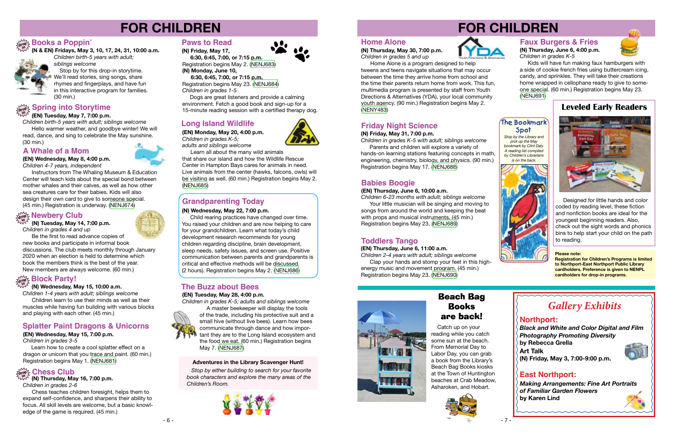

- 6 -



### **Long Island Wildlife**

*Children 1-4 years with adult; siblings welcome* Children learn to use their minds as well as their muscles while having fun building with various blocks and playing with each other. (45 min.)

**(EN) Monday, May 20, 4:00 p.m.**

*Children in grades K-5; adults and siblings welcome*

Learn all about the many wild animals

that share our island and how the Wildlife Rescue Center in Hampton Bays cares for animals in need. Live animals from the center (hawks, falcons, owls) will be visiting as well. (60 min.) Registration begins May 2. [\(NENJ685](https://search.livebrary.com/record=g1090335~S43))

# **FOR CHILDREN**

### **Splatter Paint Dragons & Unicorns**

### **(EN) Wednesday, May 15, 7:00 p.m.**

*Children in grades 3-5*

#### **(N) Wednesday, May 15, 10:00 a.m. in**

 *Children birth-5 years with adult; siblings welcome* Stop by for this drop-in storytime. We'll read stories, sing songs, share

 Learn how to create a cool splatter effect on a dragon or unicorn that you trace and paint. (60 min.) Registration begins May 1. [\(NENJ681\)](https://search.livebrary.com/record=g1088597~S43)

#### **Please note:**

**Registration for Children's Programs is limited to Northport-East Northport Public Library cardholders. Preference is given to NENPL cardholders for drop-in programs.**

**in (N) Thursday, May 16, 7:00 p.m.**

 Be the first to read advance copies of new books and participate in informal book

#### **drop Chess Club**

discussions. The club meets monthly through January 2020 when an election is held to determine which book the members think is the best of the year. New members are always welcome. (60 min.)

### $\frac{1}{2}$  Block Party!

**in (N & EN) Fridays, May 3, 10, 17, 24, 31, 10:00 a.m.**



 **(N) Tuesday, May 14, 7:00 p.m.** *Children in grades 4 and up* **in**

### **drop Books a Poppin'**

 rhymes and fingerplays, and have fun in this interactive program for families. (30 min.)

### **Spring into Storytime**<br> **drops**

### **Newbery Club drop**

#### **(EN) Tuesday, May 7, 7:00 p.m.**

Child rearing practices have changed over time. You raised your children and are now helping to care for your grandchildren. Learn what today's child development research recommends for young children regarding discipline, brain development, sleep needs, safety issues, and screen use. Positive communication between parents and grandparents is critical and effective methods will be discussed. (2 hours). Registration begins May 2. ([NENJ686](https://search.livebrary.com/record=g1090378~S43))

*Children birth-5 years with adult; siblings welcome* Hello warmer weather, and goodbye winter! We will read, dance, and sing to celebrate the May sunshine. (30 min.)

*Children in grades 2-6*

 Chess teaches children foresight, helps them to expand self-confidence, and sharpens their ability to focus. All skill levels are welcome, but a basic knowledge of the game is required. (45 min.)

**Instructors from The Whaling Museum & Education** Center will teach kids about the special bond between mother whales and their calves, as well as how other sea creatures care for their babies. Kids will also design their own card to give to someone special. (45 min.) Registration is underway. ([NENJ674](https://search.livebrary.com/record=g1087132~S43))

### **Paws to Read**

 **(N) Friday, May 17,** 

 **6:30, 6:45, 7:00, or 7:15 p.m.** Registration begins May 2. [\(NENJ683\)](https://search.livebrary.com/record=g1090371~S43)

**(N) Monday, June 10,** 

*Children in grades K-5 with adult; siblings welcome* Parents and children will explore a variety of



 **6:30, 6:45, 7:00, or 7:15 p.m.** Registration begins May 23. ([NENJ684](https://search.livebrary.com/record=g1090392~S85)) *Children in grades 1-5*

 Dogs are great listeners and provide a calming environment. Fetch a good book and sign-up for a 15-minute reading session with a certified therapy dog.

> *Stop by the Library and pick up the May bookmark by Clint Daly. A reading list compiled by Children's Librarians is on the back.*



### **Home Alone**

**(N) Thursday, May 30, 7:00 p.m.** *Children in grades 5 and up*



Kids will have fun making faux hamburgers with a side of cookie french fries using buttercream icing, candy, and sprinkles. They will take their creations home wrapped in cellophane ready to give to someone special. (60 min.) Registration begins May 23. [\(NENJ691\)](https://search.livebrary.com/record=g1090387~S43)

Home Alone is a program designed to help tweens and teens navigate situations that may occur between the time they arrive home from school and the time their parents return home from work. This fun, multimedia program is presented by staff from Youth Directions & Alternatives (YDA), your local community youth agency. (90 min.) Registration begins May 2. [\(NENY483\)](https://search.livebrary.com/record=g1090157~S43)

#### **(N) Wednesday, May 22, 7:00 p.m.**

### **Grandparenting Today**

### **A Whale of a Mom**

**(EN) Wednesday, May 8, 4:00 p.m.** *Children 4-7 years, independent* 



### **The Buzz about Bees**

#### **(EN) Tuesday, May 28, 4:00 p.m.**

*Children in grades K-5; adults and siblings welcome*



A master beekeeper will display the tools of the trade, including his protective suit and a small hive (without live bees). Learn how bees communicate through dance and how impor-I tant they are to the Long Island ecosystem and the food we eat. (60 min.) Registration begins May 7. ([NENJ687](https://search.livebrary.com/record=g1090059~S43))

### **Friday Night Science**

#### **(N) Friday, May 31, 7:00 p.m.**

hands-on learning stations featuring concepts in math, engineering, chemistry, biology, and physics. (90 min.) Registration begins May 17. ([NENJ688](https://search.livebrary.com/record=g1090383~S43))

#### **(EN) Thursday, June 6, 11:00 a.m.**

*Children 2-4 years with adult; siblings welcome* Clap your hands and stomp your feet in this highenergy music and movement program. (45 min.) Registration begins May 23. ([NENJ690](https://search.livebrary.com/record=g1090421~S43))

### **Toddlers Tango**

#### **(EN) Thursday, June 6, 10:00 a.m.**

*Children 6-23 months with adult; siblings welcome*  Your little musician will be singing and moving to songs from around the world and keeping the beat with props and musical instruments. (45 min.) Registration begins May 23. [\(NENJ689\)](https://search.livebrary.com/record=g1090420~S43)

### **Babies Boogie**

#### **Faux Burgers & Fries (N) Thursday, June 6, 4:00 p.m.**



*Children in grades K-5*

### **Leveled Early Readers**



 Designed for little hands and color coded by reading level, these fiction and nonfiction books are ideal for the youngest beginning readers. Also, check out the sight words and phonics bins to help start your child on the path to reading.

 *Stop by either building to search for your favorite book characters and explore the many areas of the Children's Room.* 





#### **Adventures in the Library Scavenger Hunt!**

 Catch up on your reading while you catch some sun at the beach. From Memorial Day to Labor Day, you can grab a book from the Library's Beach Bag Books kiosks at the Town of Huntington beaches at Crab Meadow, Asharoken, and Hobart.



### **Beach Bag Books are back!**